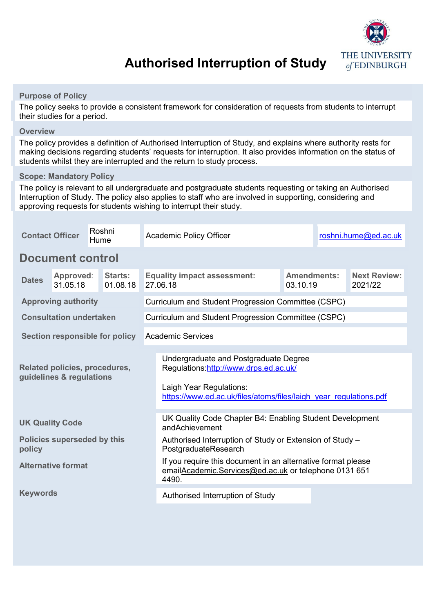

# **Authorised Interruption of Study**

### **Purpose of Policy**

The policy seeks to provide a consistent framework for consideration of requests from students to interrupt their studies for a period.

#### **Overview**

The policy provides a definition of Authorised Interruption of Study, and explains where authority rests for making decisions regarding students' requests for interruption. It also provides information on the status of students whilst they are interrupted and the return to study process.

#### **Scope: Mandatory Policy**

The policy is relevant to all undergraduate and postgraduate students requesting or taking an Authorised Interruption of Study. The policy also applies to staff who are involved in supporting, considering and approving requests for students wishing to interrupt their study.

| <b>Contact Officer</b>                                    |                       | Roshni<br>Hume             | <b>Academic Policy Officer</b>                                                   |                                                                                                                                                                                 | roshni.hume@ed.ac.uk |  |                                |  |
|-----------------------------------------------------------|-----------------------|----------------------------|----------------------------------------------------------------------------------|---------------------------------------------------------------------------------------------------------------------------------------------------------------------------------|----------------------|--|--------------------------------|--|
| <b>Document control</b>                                   |                       |                            |                                                                                  |                                                                                                                                                                                 |                      |  |                                |  |
| <b>Dates</b>                                              | Approved:<br>31.05.18 | <b>Starts:</b><br>01.08.18 | <b>Amendments:</b><br><b>Equality impact assessment:</b><br>27.06.18<br>03.10.19 |                                                                                                                                                                                 |                      |  | <b>Next Review:</b><br>2021/22 |  |
| <b>Approving authority</b>                                |                       |                            |                                                                                  | Curriculum and Student Progression Committee (CSPC)                                                                                                                             |                      |  |                                |  |
| <b>Consultation undertaken</b>                            |                       |                            |                                                                                  | Curriculum and Student Progression Committee (CSPC)                                                                                                                             |                      |  |                                |  |
| Section responsible for policy                            |                       |                            |                                                                                  | <b>Academic Services</b>                                                                                                                                                        |                      |  |                                |  |
| Related policies, procedures,<br>guidelines & regulations |                       |                            |                                                                                  | Undergraduate and Postgraduate Degree<br>Regulations: http://www.drps.ed.ac.uk/<br>Laigh Year Regulations:<br>https://www.ed.ac.uk/files/atoms/files/laigh year regulations.pdf |                      |  |                                |  |
| <b>UK Quality Code</b>                                    |                       |                            |                                                                                  | UK Quality Code Chapter B4: Enabling Student Development<br>andAchievement                                                                                                      |                      |  |                                |  |
| Policies superseded by this<br>policy                     |                       |                            |                                                                                  | Authorised Interruption of Study or Extension of Study -<br>PostgraduateResearch                                                                                                |                      |  |                                |  |
| <b>Alternative format</b>                                 |                       |                            |                                                                                  | If you require this document in an alternative format please<br>emailAcademic.Services@ed.ac.uk or telephone 0131 651<br>4490.                                                  |                      |  |                                |  |
| <b>Keywords</b>                                           |                       |                            |                                                                                  | Authorised Interruption of Study                                                                                                                                                |                      |  |                                |  |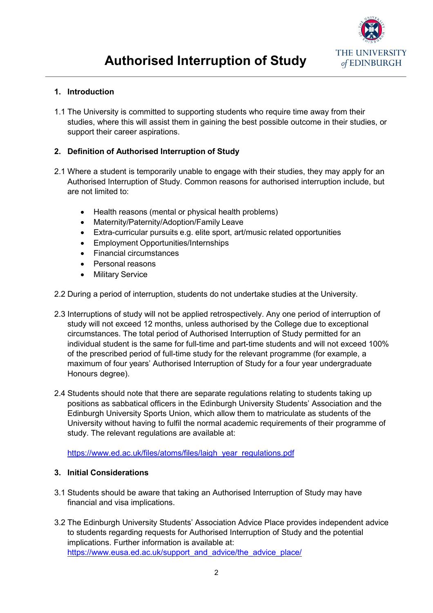

## **1. Introduction**

1.1 The University is committed to supporting students who require time away from their studies, where this will assist them in gaining the best possible outcome in their studies, or support their career aspirations.

# **2. Definition of Authorised Interruption of Study**

- 2.1 Where a student is temporarily unable to engage with their studies, they may apply for an Authorised Interruption of Study. Common reasons for authorised interruption include, but are not limited to:
	- Health reasons (mental or physical health problems)
	- Maternity/Paternity/Adoption/Family Leave
	- Extra-curricular pursuits e.g. elite sport, art/music related opportunities
	- Employment Opportunities/Internships
	- Financial circumstances
	- Personal reasons
	- Military Service
- 2.2 During a period of interruption, students do not undertake studies at the University.
- 2.3 Interruptions of study will not be applied retrospectively. Any one period of interruption of study will not exceed 12 months, unless authorised by the College due to exceptional circumstances. The total period of Authorised Interruption of Study permitted for an individual student is the same for full-time and part-time students and will not exceed 100% of the prescribed period of full-time study for the relevant programme (for example, a maximum of four years' Authorised Interruption of Study for a four year undergraduate Honours degree).
- 2.4 Students should note that there are separate regulations relating to students taking up positions as sabbatical officers in the Edinburgh University Students' Association and the Edinburgh University Sports Union, which allow them to matriculate as students of the University without having to fulfil the normal academic requirements of their programme of study. The relevant regulations are available at:

[https://www.ed.ac.uk/files/atoms/files/laigh\\_year\\_regulations.pdf](https://www.ed.ac.uk/files/atoms/files/laigh_year_regulations.pdf)

#### **3. Initial Considerations**

- 3.1 Students should be aware that taking an Authorised Interruption of Study may have financial and visa implications.
- 3.2 The Edinburgh University Students' Association Advice Place provides independent advice to students regarding requests for Authorised Interruption of Study and the potential implications. Further information is available at: [https://www.eusa.ed.ac.uk/support\\_and\\_advice/the\\_advice\\_place/](https://www.eusa.ed.ac.uk/support_and_advice/the_advice_place/)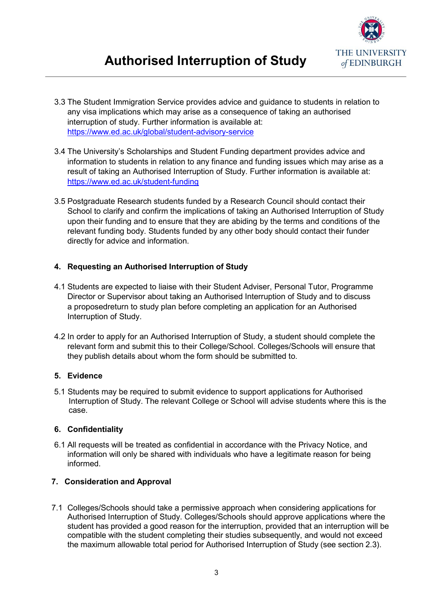

- 3.3 The Student Immigration Service provides advice and guidance to students in relation to any visa implications which may arise as a consequence of taking an authorised interruption of study. Further information is available at: <https://www.ed.ac.uk/global/student-advisory-service>
- 3.4 The University's Scholarships and Student Funding department provides advice and information to students in relation to any finance and funding issues which may arise as a result of taking an Authorised Interruption of Study. Further information is available at: <https://www.ed.ac.uk/student-funding>
- 3.5 Postgraduate Research students funded by a Research Council should contact their School to clarify and confirm the implications of taking an Authorised Interruption of Study upon their funding and to ensure that they are abiding by the terms and conditions of the relevant funding body. Students funded by any other body should contact their funder directly for advice and information.

# **4. Requesting an Authorised Interruption of Study**

- 4.1 Students are expected to liaise with their Student Adviser, Personal Tutor, Programme Director or Supervisor about taking an Authorised Interruption of Study and to discuss a proposedreturn to study plan before completing an application for an Authorised Interruption of Study.
- 4.2 In order to apply for an Authorised Interruption of Study, a student should complete the relevant form and submit this to their College/School. Colleges/Schools will ensure that they publish details about whom the form should be submitted to.

# **5. Evidence**

5.1 Students may be required to submit evidence to support applications for Authorised Interruption of Study. The relevant College or School will advise students where this is the case.

# **6. Confidentiality**

6.1 All requests will be treated as confidential in accordance with the Privacy Notice, and information will only be shared with individuals who have a legitimate reason for being informed.

# **7. Consideration and Approval**

7.1 Colleges/Schools should take a permissive approach when considering applications for Authorised Interruption of Study. Colleges/Schools should approve applications where the student has provided a good reason for the interruption, provided that an interruption will be compatible with the student completing their studies subsequently, and would not exceed the maximum allowable total period for Authorised Interruption of Study (see section 2.3).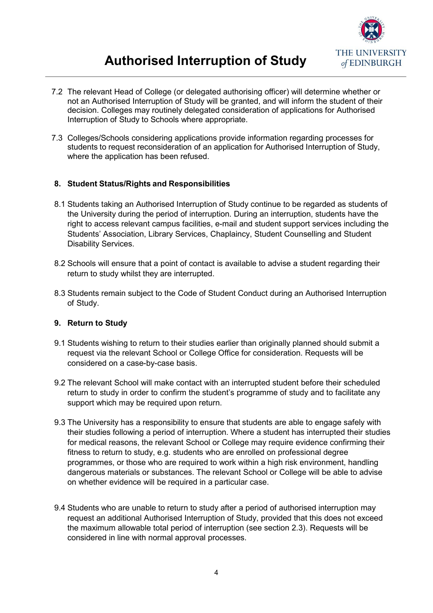

# **Authorised Interruption of Study**

- 7.2 The relevant Head of College (or delegated authorising officer) will determine whether or not an Authorised Interruption of Study will be granted, and will inform the student of their decision. Colleges may routinely delegated consideration of applications for Authorised Interruption of Study to Schools where appropriate.
- 7.3 Colleges/Schools considering applications provide information regarding processes for students to request reconsideration of an application for Authorised Interruption of Study, where the application has been refused.

### **8. Student Status/Rights and Responsibilities**

- 8.1 Students taking an Authorised Interruption of Study continue to be regarded as students of the University during the period of interruption. During an interruption, students have the right to access relevant campus facilities, e-mail and student support services including the Students' Association, Library Services, Chaplaincy, Student Counselling and Student Disability Services.
- 8.2 Schools will ensure that a point of contact is available to advise a student regarding their return to study whilst they are interrupted.
- 8.3 Students remain subject to the Code of Student Conduct during an Authorised Interruption of Study.

#### **9. Return to Study**

- 9.1 Students wishing to return to their studies earlier than originally planned should submit a request via the relevant School or College Office for consideration. Requests will be considered on a case-by-case basis.
- 9.2 The relevant School will make contact with an interrupted student before their scheduled return to study in order to confirm the student's programme of study and to facilitate any support which may be required upon return.
- 9.3 The University has a responsibility to ensure that students are able to engage safely with their studies following a period of interruption. Where a student has interrupted their studies for medical reasons, the relevant School or College may require evidence confirming their fitness to return to study, e.g. students who are enrolled on professional degree programmes, or those who are required to work within a high risk environment, handling dangerous materials or substances. The relevant School or College will be able to advise on whether evidence will be required in a particular case.
- 9.4 Students who are unable to return to study after a period of authorised interruption may request an additional Authorised Interruption of Study, provided that this does not exceed the maximum allowable total period of interruption (see section 2.3). Requests will be considered in line with normal approval processes.